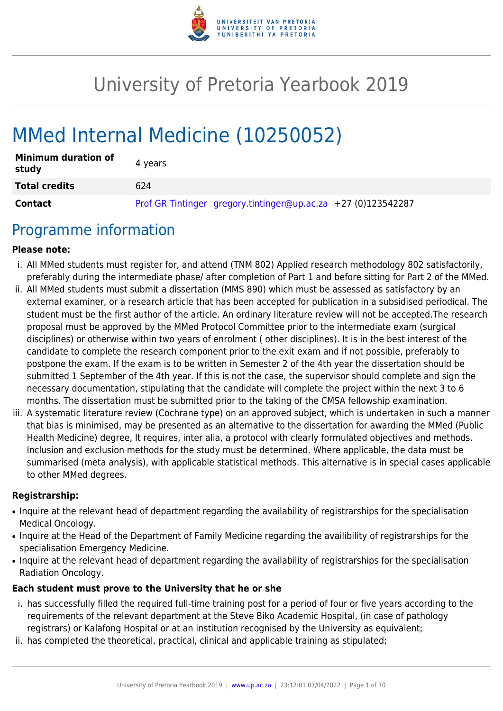

# University of Pretoria Yearbook 2019

# MMed Internal Medicine (10250052)

| <b>Minimum duration of</b><br>study | 4 years                                                       |
|-------------------------------------|---------------------------------------------------------------|
| <b>Total credits</b>                | 624                                                           |
| Contact                             | Prof GR Tintinger gregory.tintinger@up.ac.za +27 (0)123542287 |

## Programme information

#### **Please note:**

- i. All MMed students must register for, and attend (TNM 802) Applied research methodology 802 satisfactorily, preferably during the intermediate phase/ after completion of Part 1 and before sitting for Part 2 of the MMed.
- ii. All MMed students must submit a dissertation (MMS 890) which must be assessed as satisfactory by an external examiner, or a research article that has been accepted for publication in a subsidised periodical. The student must be the first author of the article. An ordinary literature review will not be accepted.The research proposal must be approved by the MMed Protocol Committee prior to the intermediate exam (surgical disciplines) or otherwise within two years of enrolment ( other disciplines). It is in the best interest of the candidate to complete the research component prior to the exit exam and if not possible, preferably to postpone the exam. If the exam is to be written in Semester 2 of the 4th year the dissertation should be submitted 1 September of the 4th year. If this is not the case, the supervisor should complete and sign the necessary documentation, stipulating that the candidate will complete the project within the next 3 to 6 months. The dissertation must be submitted prior to the taking of the CMSA fellowship examination.
- iii. A systematic literature review (Cochrane type) on an approved subject, which is undertaken in such a manner that bias is minimised, may be presented as an alternative to the dissertation for awarding the MMed (Public Health Medicine) degree, It requires, inter alia, a protocol with clearly formulated objectives and methods. Inclusion and exclusion methods for the study must be determined. Where applicable, the data must be summarised (meta analysis), with applicable statistical methods. This alternative is in special cases applicable to other MMed degrees.

#### **Registrarship:**

- Inquire at the relevant head of department regarding the availability of registrarships for the specialisation Medical Oncology.
- Inquire at the Head of the Department of Family Medicine regarding the availibility of registrarships for the specialisation Emergency Medicine.
- Inquire at the relevant head of department regarding the availability of registrarships for the specialisation Radiation Oncology.

### **Each student must prove to the University that he or she**

- i. has successfully filled the required full-time training post for a period of four or five years according to the requirements of the relevant department at the Steve Biko Academic Hospital, (in case of pathology registrars) or Kalafong Hospital or at an institution recognised by the University as equivalent;
- ii. has completed the theoretical, practical, clinical and applicable training as stipulated;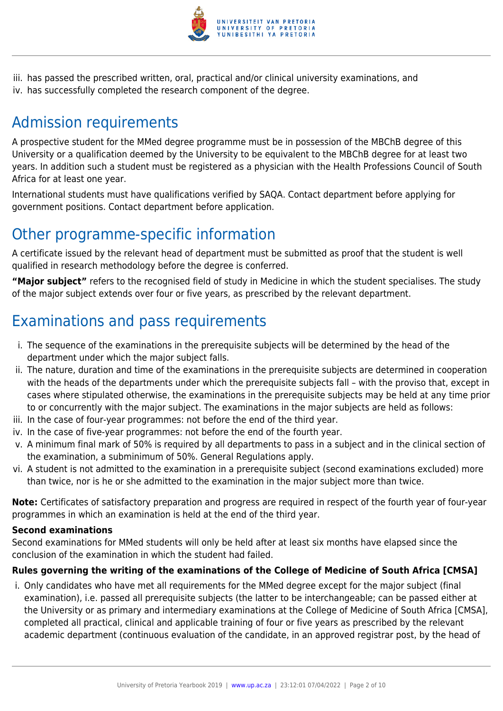

iii. has passed the prescribed written, oral, practical and/or clinical university examinations, and iv. has successfully completed the research component of the degree.

## Admission requirements

A prospective student for the MMed degree programme must be in possession of the MBChB degree of this University or a qualification deemed by the University to be equivalent to the MBChB degree for at least two years. In addition such a student must be registered as a physician with the Health Professions Council of South Africa for at least one year.

International students must have qualifications verified by SAQA. Contact department before applying for government positions. Contact department before application.

## Other programme-specific information

A certificate issued by the relevant head of department must be submitted as proof that the student is well qualified in research methodology before the degree is conferred.

**"Major subject"** refers to the recognised field of study in Medicine in which the student specialises. The study of the major subject extends over four or five years, as prescribed by the relevant department.

## Examinations and pass requirements

- i. The sequence of the examinations in the prerequisite subjects will be determined by the head of the department under which the major subject falls.
- ii. The nature, duration and time of the examinations in the prerequisite subjects are determined in cooperation with the heads of the departments under which the prerequisite subjects fall – with the proviso that, except in cases where stipulated otherwise, the examinations in the prerequisite subjects may be held at any time prior to or concurrently with the major subject. The examinations in the major subjects are held as follows:
- iii. In the case of four-year programmes: not before the end of the third year.
- iv. In the case of five-year programmes: not before the end of the fourth year.
- v. A minimum final mark of 50% is required by all departments to pass in a subject and in the clinical section of the examination, a subminimum of 50%. General Regulations apply.
- vi. A student is not admitted to the examination in a prerequisite subject (second examinations excluded) more than twice, nor is he or she admitted to the examination in the major subject more than twice.

**Note:** Certificates of satisfactory preparation and progress are required in respect of the fourth year of four-year programmes in which an examination is held at the end of the third year.

### **Second examinations**

Second examinations for MMed students will only be held after at least six months have elapsed since the conclusion of the examination in which the student had failed.

### **Rules governing the writing of the examinations of the College of Medicine of South Africa [CMSA]**

i. Only candidates who have met all requirements for the MMed degree except for the major subject (final examination), i.e. passed all prerequisite subjects (the latter to be interchangeable; can be passed either at the University or as primary and intermediary examinations at the College of Medicine of South Africa [CMSA], completed all practical, clinical and applicable training of four or five years as prescribed by the relevant academic department (continuous evaluation of the candidate, in an approved registrar post, by the head of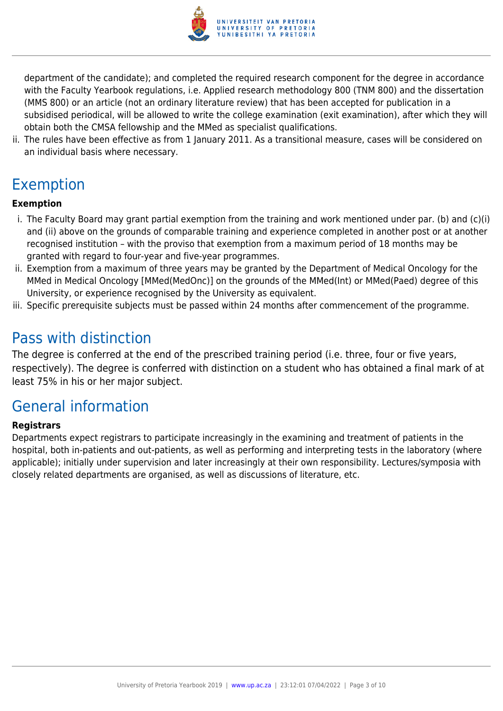

department of the candidate); and completed the required research component for the degree in accordance with the Faculty Yearbook regulations, i.e. Applied research methodology 800 (TNM 800) and the dissertation (MMS 800) or an article (not an ordinary literature review) that has been accepted for publication in a subsidised periodical, will be allowed to write the college examination (exit examination), after which they will obtain both the CMSA fellowship and the MMed as specialist qualifications.

ii. The rules have been effective as from 1 January 2011. As a transitional measure, cases will be considered on an individual basis where necessary.

## Exemption

## **Exemption**

- i. The Faculty Board may grant partial exemption from the training and work mentioned under par. (b) and (c)(i) and (ii) above on the grounds of comparable training and experience completed in another post or at another recognised institution – with the proviso that exemption from a maximum period of 18 months may be granted with regard to four-year and five-year programmes.
- ii. Exemption from a maximum of three years may be granted by the Department of Medical Oncology for the MMed in Medical Oncology [MMed(MedOnc)] on the grounds of the MMed(Int) or MMed(Paed) degree of this University, or experience recognised by the University as equivalent.
- iii. Specific prerequisite subjects must be passed within 24 months after commencement of the programme.

## Pass with distinction

The degree is conferred at the end of the prescribed training period (i.e. three, four or five years, respectively). The degree is conferred with distinction on a student who has obtained a final mark of at least 75% in his or her major subject.

## General information

### **Registrars**

Departments expect registrars to participate increasingly in the examining and treatment of patients in the hospital, both in-patients and out-patients, as well as performing and interpreting tests in the laboratory (where applicable); initially under supervision and later increasingly at their own responsibility. Lectures/symposia with closely related departments are organised, as well as discussions of literature, etc.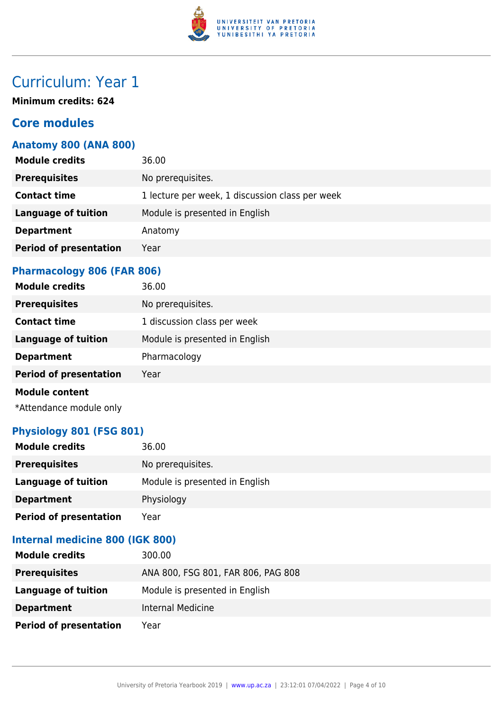

## Curriculum: Year 1

**Minimum credits: 624**

## **Core modules**

## **Anatomy 800 (ANA 800)**

| <b>Module credits</b>         | 36.00                                           |
|-------------------------------|-------------------------------------------------|
| <b>Prerequisites</b>          | No prerequisites.                               |
| <b>Contact time</b>           | 1 lecture per week, 1 discussion class per week |
| <b>Language of tuition</b>    | Module is presented in English                  |
| <b>Department</b>             | Anatomy                                         |
| <b>Period of presentation</b> | Year                                            |
|                               |                                                 |

## **Pharmacology 806 (FAR 806)**

| <b>Module credits</b>         | 36.00                          |
|-------------------------------|--------------------------------|
| <b>Prerequisites</b>          | No prerequisites.              |
| <b>Contact time</b>           | 1 discussion class per week    |
| <b>Language of tuition</b>    | Module is presented in English |
| <b>Department</b>             | Pharmacology                   |
| <b>Period of presentation</b> | Year                           |
| <b>Module content</b>         |                                |

\*Attendance module only

## **Physiology 801 (FSG 801)**

| <b>Module credits</b>         | 36.00                          |
|-------------------------------|--------------------------------|
| <b>Prerequisites</b>          | No prerequisites.              |
| Language of tuition           | Module is presented in English |
| <b>Department</b>             | Physiology                     |
| <b>Period of presentation</b> | Year                           |

### **Internal medicine 800 (IGK 800)**

| <b>Module credits</b>         | 300.00                             |
|-------------------------------|------------------------------------|
| <b>Prerequisites</b>          | ANA 800, FSG 801, FAR 806, PAG 808 |
| Language of tuition           | Module is presented in English     |
| <b>Department</b>             | Internal Medicine                  |
| <b>Period of presentation</b> | Year                               |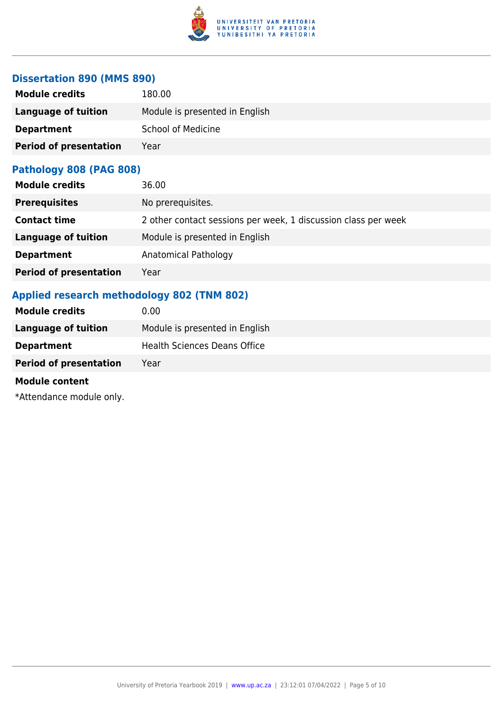

## **Dissertation 890 (MMS 890)**

| <b>Module credits</b>         | 180.00                         |
|-------------------------------|--------------------------------|
| Language of tuition           | Module is presented in English |
| <b>Department</b>             | <b>School of Medicine</b>      |
| <b>Period of presentation</b> | Year                           |

#### **Pathology 808 (PAG 808)**

| <b>Module credits</b>         | 36.00                                                          |
|-------------------------------|----------------------------------------------------------------|
| <b>Prerequisites</b>          | No prerequisites.                                              |
| <b>Contact time</b>           | 2 other contact sessions per week, 1 discussion class per week |
| <b>Language of tuition</b>    | Module is presented in English                                 |
| <b>Department</b>             | Anatomical Pathology                                           |
| <b>Period of presentation</b> | Year                                                           |

## **Applied research methodology 802 (TNM 802)**

| <b>Module credits</b>         | 0.00                                |
|-------------------------------|-------------------------------------|
| Language of tuition           | Module is presented in English      |
| <b>Department</b>             | <b>Health Sciences Deans Office</b> |
| <b>Period of presentation</b> | Year                                |
| .                             |                                     |

#### **Module content**

\*Attendance module only.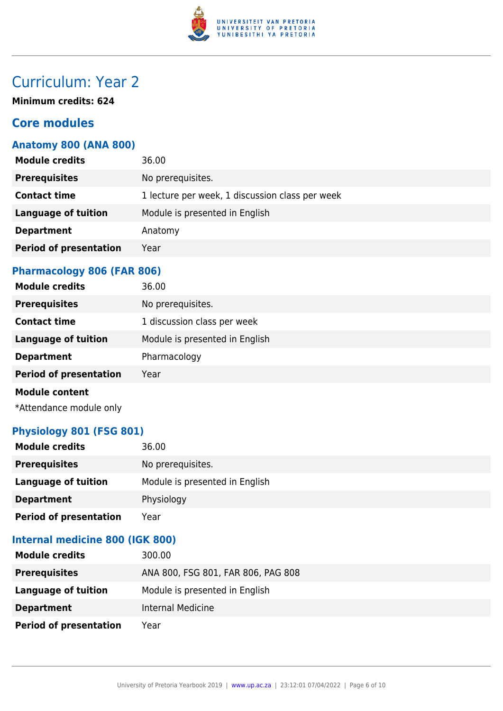

## Curriculum: Year 2

**Minimum credits: 624**

## **Core modules**

## **Anatomy 800 (ANA 800)**

| <b>Module credits</b>         | 36.00                                           |
|-------------------------------|-------------------------------------------------|
| <b>Prerequisites</b>          | No prerequisites.                               |
| <b>Contact time</b>           | 1 lecture per week, 1 discussion class per week |
| <b>Language of tuition</b>    | Module is presented in English                  |
| <b>Department</b>             | Anatomy                                         |
| <b>Period of presentation</b> | Year                                            |
|                               |                                                 |

## **Pharmacology 806 (FAR 806)**

| <b>Module credits</b>         | 36.00                          |
|-------------------------------|--------------------------------|
| <b>Prerequisites</b>          | No prerequisites.              |
| <b>Contact time</b>           | 1 discussion class per week    |
| <b>Language of tuition</b>    | Module is presented in English |
| <b>Department</b>             | Pharmacology                   |
| <b>Period of presentation</b> | Year                           |
| <b>Module content</b>         |                                |

\*Attendance module only

## **Physiology 801 (FSG 801)**

| <b>Module credits</b>         | 36.00                          |
|-------------------------------|--------------------------------|
| <b>Prerequisites</b>          | No prerequisites.              |
| Language of tuition           | Module is presented in English |
| <b>Department</b>             | Physiology                     |
| <b>Period of presentation</b> | Year                           |

### **Internal medicine 800 (IGK 800)**

| <b>Module credits</b>         | 300.00                             |
|-------------------------------|------------------------------------|
| <b>Prerequisites</b>          | ANA 800, FSG 801, FAR 806, PAG 808 |
| <b>Language of tuition</b>    | Module is presented in English     |
| <b>Department</b>             | Internal Medicine                  |
| <b>Period of presentation</b> | Year                               |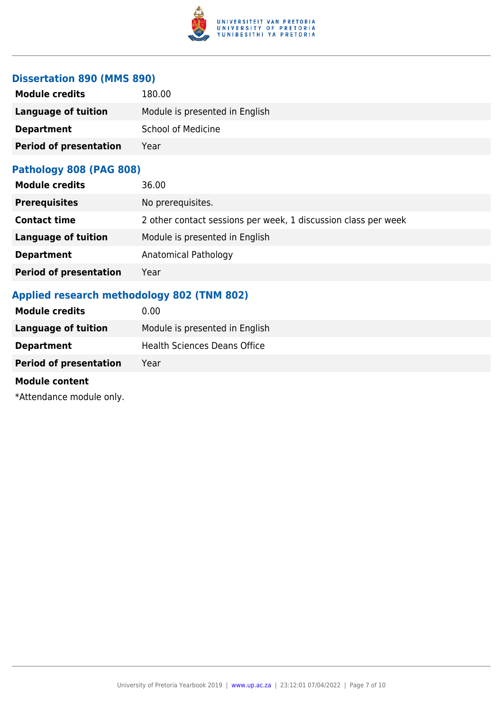

## **Dissertation 890 (MMS 890)**

| <b>Module credits</b>         | 180.00                         |
|-------------------------------|--------------------------------|
| Language of tuition           | Module is presented in English |
| <b>Department</b>             | <b>School of Medicine</b>      |
| <b>Period of presentation</b> | Year                           |

#### **Pathology 808 (PAG 808)**

| <b>Module credits</b>         | 36.00                                                          |
|-------------------------------|----------------------------------------------------------------|
| <b>Prerequisites</b>          | No prerequisites.                                              |
| <b>Contact time</b>           | 2 other contact sessions per week, 1 discussion class per week |
| <b>Language of tuition</b>    | Module is presented in English                                 |
| <b>Department</b>             | Anatomical Pathology                                           |
| <b>Period of presentation</b> | Year                                                           |

## **Applied research methodology 802 (TNM 802)**

| <b>Module credits</b>         | 0.00                                |
|-------------------------------|-------------------------------------|
| Language of tuition           | Module is presented in English      |
| <b>Department</b>             | <b>Health Sciences Deans Office</b> |
| <b>Period of presentation</b> | Year                                |
| .                             |                                     |

#### **Module content**

\*Attendance module only.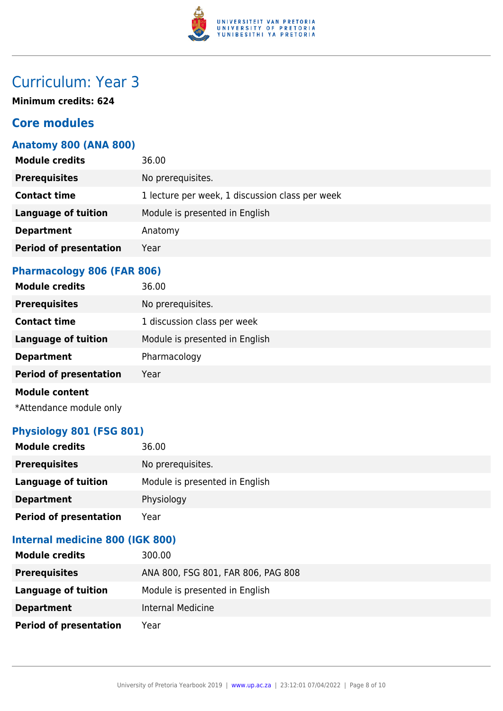

## Curriculum: Year 3

**Minimum credits: 624**

## **Core modules**

## **Anatomy 800 (ANA 800)**

| <b>Module credits</b>         | 36.00                                           |
|-------------------------------|-------------------------------------------------|
| <b>Prerequisites</b>          | No prerequisites.                               |
| <b>Contact time</b>           | 1 lecture per week, 1 discussion class per week |
| <b>Language of tuition</b>    | Module is presented in English                  |
| <b>Department</b>             | Anatomy                                         |
| <b>Period of presentation</b> | Year                                            |
|                               |                                                 |

## **Pharmacology 806 (FAR 806)**

| <b>Module credits</b>         | 36.00                          |
|-------------------------------|--------------------------------|
| <b>Prerequisites</b>          | No prerequisites.              |
| <b>Contact time</b>           | 1 discussion class per week    |
| <b>Language of tuition</b>    | Module is presented in English |
| <b>Department</b>             | Pharmacology                   |
| <b>Period of presentation</b> | Year                           |
| <b>Module content</b>         |                                |

\*Attendance module only

## **Physiology 801 (FSG 801)**

| <b>Module credits</b>         | 36.00                          |
|-------------------------------|--------------------------------|
| <b>Prerequisites</b>          | No prerequisites.              |
| Language of tuition           | Module is presented in English |
| <b>Department</b>             | Physiology                     |
| <b>Period of presentation</b> | Year                           |

### **Internal medicine 800 (IGK 800)**

| <b>Module credits</b>         | 300.00                             |
|-------------------------------|------------------------------------|
| <b>Prerequisites</b>          | ANA 800, FSG 801, FAR 806, PAG 808 |
| <b>Language of tuition</b>    | Module is presented in English     |
| <b>Department</b>             | Internal Medicine                  |
| <b>Period of presentation</b> | Year                               |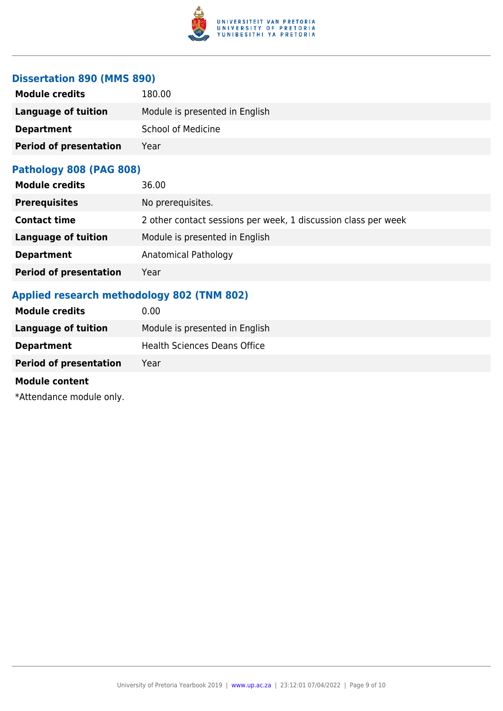

## **Dissertation 890 (MMS 890)**

| <b>Module credits</b>         | 180.00                         |
|-------------------------------|--------------------------------|
| Language of tuition           | Module is presented in English |
| <b>Department</b>             | <b>School of Medicine</b>      |
| <b>Period of presentation</b> | Year                           |

#### **Pathology 808 (PAG 808)**

| <b>Module credits</b>         | 36.00                                                          |
|-------------------------------|----------------------------------------------------------------|
| <b>Prerequisites</b>          | No prerequisites.                                              |
| <b>Contact time</b>           | 2 other contact sessions per week, 1 discussion class per week |
| <b>Language of tuition</b>    | Module is presented in English                                 |
| <b>Department</b>             | Anatomical Pathology                                           |
| <b>Period of presentation</b> | Year                                                           |

## **Applied research methodology 802 (TNM 802)**

| <b>Module credits</b>         | 0.00                                |
|-------------------------------|-------------------------------------|
| Language of tuition           | Module is presented in English      |
| <b>Department</b>             | <b>Health Sciences Deans Office</b> |
| <b>Period of presentation</b> | Year                                |
| .                             |                                     |

#### **Module content**

\*Attendance module only.